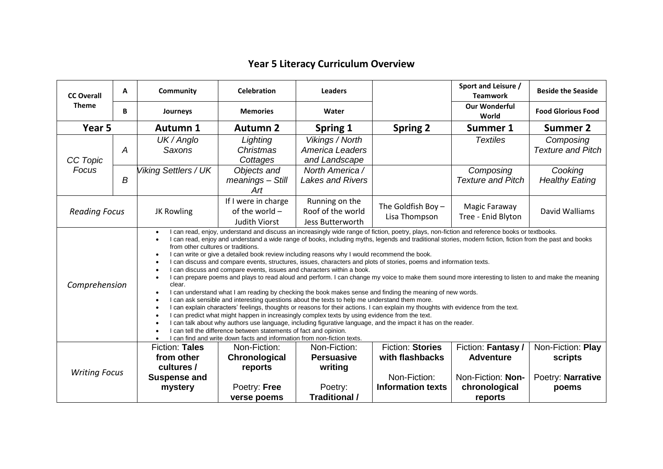## **Year 5 Literacy Curriculum Overview**

| <b>CC Overall</b><br><b>Theme</b>                                                                                                                                                                                                                                                                                                                                                                                                                                                                                                                                                                                                                                                                                                                                                                                                                                                                                                                                                                                                                                                                                                                                                                                                                                                                                                                                                                                                                                                                                                                                                                  | A | Community                                                                           | <b>Celebration</b>                                                      | <b>Leaders</b>                                                           |                                                                                        | Sport and Leisure /<br><b>Teamwork</b>                                                  | <b>Beside the Seaside</b>                                  |
|----------------------------------------------------------------------------------------------------------------------------------------------------------------------------------------------------------------------------------------------------------------------------------------------------------------------------------------------------------------------------------------------------------------------------------------------------------------------------------------------------------------------------------------------------------------------------------------------------------------------------------------------------------------------------------------------------------------------------------------------------------------------------------------------------------------------------------------------------------------------------------------------------------------------------------------------------------------------------------------------------------------------------------------------------------------------------------------------------------------------------------------------------------------------------------------------------------------------------------------------------------------------------------------------------------------------------------------------------------------------------------------------------------------------------------------------------------------------------------------------------------------------------------------------------------------------------------------------------|---|-------------------------------------------------------------------------------------|-------------------------------------------------------------------------|--------------------------------------------------------------------------|----------------------------------------------------------------------------------------|-----------------------------------------------------------------------------------------|------------------------------------------------------------|
|                                                                                                                                                                                                                                                                                                                                                                                                                                                                                                                                                                                                                                                                                                                                                                                                                                                                                                                                                                                                                                                                                                                                                                                                                                                                                                                                                                                                                                                                                                                                                                                                    | B | Journeys                                                                            | <b>Memories</b>                                                         | Water                                                                    |                                                                                        | <b>Our Wonderful</b><br>World                                                           | <b>Food Glorious Food</b>                                  |
| Year <sub>5</sub>                                                                                                                                                                                                                                                                                                                                                                                                                                                                                                                                                                                                                                                                                                                                                                                                                                                                                                                                                                                                                                                                                                                                                                                                                                                                                                                                                                                                                                                                                                                                                                                  |   | <b>Autumn 1</b>                                                                     | <b>Autumn 2</b>                                                         | Spring 1                                                                 | <b>Spring 2</b>                                                                        | Summer 1                                                                                | <b>Summer 2</b>                                            |
| CC Topic<br>Focus                                                                                                                                                                                                                                                                                                                                                                                                                                                                                                                                                                                                                                                                                                                                                                                                                                                                                                                                                                                                                                                                                                                                                                                                                                                                                                                                                                                                                                                                                                                                                                                  | A | UK / Anglo<br><b>Saxons</b>                                                         | Lighting<br>Christmas<br>Cottages                                       | Vikings / North<br><b>America Leaders</b><br>and Landscape               |                                                                                        | <b>Textiles</b>                                                                         | Composing<br><b>Texture and Pitch</b>                      |
|                                                                                                                                                                                                                                                                                                                                                                                                                                                                                                                                                                                                                                                                                                                                                                                                                                                                                                                                                                                                                                                                                                                                                                                                                                                                                                                                                                                                                                                                                                                                                                                                    | B | Viking Settlers / UK                                                                | Objects and<br>meanings - Still<br>Art                                  | North America /<br><b>Lakes and Rivers</b>                               |                                                                                        | Composing<br><b>Texture and Pitch</b>                                                   | Cooking<br><b>Healthy Eating</b>                           |
| <b>Reading Focus</b>                                                                                                                                                                                                                                                                                                                                                                                                                                                                                                                                                                                                                                                                                                                                                                                                                                                                                                                                                                                                                                                                                                                                                                                                                                                                                                                                                                                                                                                                                                                                                                               |   | JK Rowling                                                                          | If I were in charge<br>of the world -<br><b>Judith Viorst</b>           | Running on the<br>Roof of the world<br>Jess Butterworth                  | The Goldfish Boy -<br>Lisa Thompson                                                    | Magic Faraway<br>Tree - Enid Blyton                                                     | David Walliams                                             |
| I can read, enjoy, understand and discuss an increasingly wide range of fiction, poetry, plays, non-fiction and reference books or textbooks.<br>I can read, enjoy and understand a wide range of books, including myths, legends and traditional stories, modern fiction, fiction from the past and books<br>from other cultures or traditions.<br>I can write or give a detailed book review including reasons why I would recommend the book.<br>$\bullet$<br>I can discuss and compare events, structures, issues, characters and plots of stories, poems and information texts.<br>$\bullet$<br>I can discuss and compare events, issues and characters within a book.<br>I can prepare poems and plays to read aloud and perform. I can change my voice to make them sound more interesting to listen to and make the meaning<br>Comprehension<br>clear.<br>I can understand what I am reading by checking the book makes sense and finding the meaning of new words.<br>I can ask sensible and interesting questions about the texts to help me understand them more.<br>I can explain characters' feelings, thoughts or reasons for their actions. I can explain my thoughts with evidence from the text.<br>I can predict what might happen in increasingly complex texts by using evidence from the text.<br>$\bullet$<br>I can talk about why authors use language, including figurative language, and the impact it has on the reader.<br>I can tell the difference between statements of fact and opinion.<br>I can find and write down facts and information from non-fiction texts. |   |                                                                                     |                                                                         |                                                                          |                                                                                        |                                                                                         |                                                            |
| <b>Writing Focus</b>                                                                                                                                                                                                                                                                                                                                                                                                                                                                                                                                                                                                                                                                                                                                                                                                                                                                                                                                                                                                                                                                                                                                                                                                                                                                                                                                                                                                                                                                                                                                                                               |   | <b>Fiction: Tales</b><br>from other<br>cultures /<br><b>Suspense and</b><br>mystery | Non-Fiction:<br>Chronological<br>reports<br>Poetry: Free<br>verse poems | Non-Fiction:<br><b>Persuasive</b><br>writing<br>Poetry:<br>Traditional / | <b>Fiction: Stories</b><br>with flashbacks<br>Non-Fiction:<br><b>Information texts</b> | Fiction: Fantasy /<br><b>Adventure</b><br>Non-Fiction: Non-<br>chronological<br>reports | Non-Fiction: Play<br>scripts<br>Poetry: Narrative<br>poems |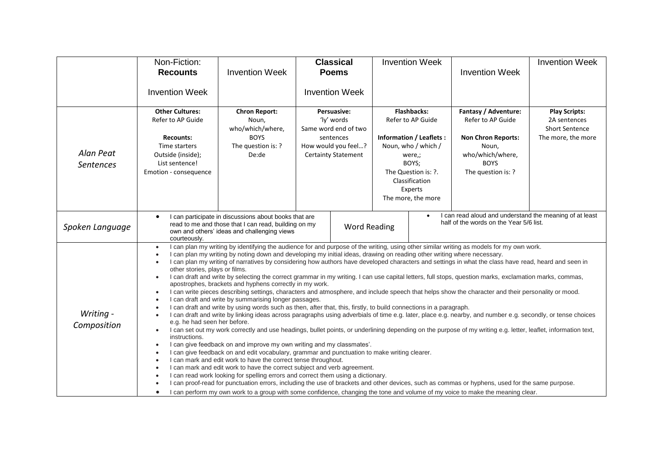|                          | Non-Fiction:<br><b>Recounts</b>                                                                                                                                                                                                                                                                                                                                                                                                                                                                                                                                                                                                                                                                                                                                                                                                                                                                                                                                                                                                                                                                                                                                                                                                                                                                                                                                                                                                                                                                                                                                                                                                                                                                                                                                                                                                                                                                                                                                                                                                                                                                                                                                                          | <b>Invention Week</b>                                                                                                                                        |                                                                                                                           | <b>Classical</b><br><b>Poems</b> |  | <b>Invention Week</b>                                                                                                                                                                         | <b>Invention Week</b>                                                                                                                    | <b>Invention Week</b>                                                               |
|--------------------------|------------------------------------------------------------------------------------------------------------------------------------------------------------------------------------------------------------------------------------------------------------------------------------------------------------------------------------------------------------------------------------------------------------------------------------------------------------------------------------------------------------------------------------------------------------------------------------------------------------------------------------------------------------------------------------------------------------------------------------------------------------------------------------------------------------------------------------------------------------------------------------------------------------------------------------------------------------------------------------------------------------------------------------------------------------------------------------------------------------------------------------------------------------------------------------------------------------------------------------------------------------------------------------------------------------------------------------------------------------------------------------------------------------------------------------------------------------------------------------------------------------------------------------------------------------------------------------------------------------------------------------------------------------------------------------------------------------------------------------------------------------------------------------------------------------------------------------------------------------------------------------------------------------------------------------------------------------------------------------------------------------------------------------------------------------------------------------------------------------------------------------------------------------------------------------------|--------------------------------------------------------------------------------------------------------------------------------------------------------------|---------------------------------------------------------------------------------------------------------------------------|----------------------------------|--|-----------------------------------------------------------------------------------------------------------------------------------------------------------------------------------------------|------------------------------------------------------------------------------------------------------------------------------------------|-------------------------------------------------------------------------------------|
|                          | <b>Invention Week</b>                                                                                                                                                                                                                                                                                                                                                                                                                                                                                                                                                                                                                                                                                                                                                                                                                                                                                                                                                                                                                                                                                                                                                                                                                                                                                                                                                                                                                                                                                                                                                                                                                                                                                                                                                                                                                                                                                                                                                                                                                                                                                                                                                                    |                                                                                                                                                              | <b>Invention Week</b>                                                                                                     |                                  |  |                                                                                                                                                                                               |                                                                                                                                          |                                                                                     |
| Alan Peat<br>Sentences   | <b>Other Cultures:</b><br>Refer to AP Guide<br><b>Recounts:</b><br>Time starters<br>Outside (inside);<br>List sentence!<br>Emotion - consequence                                                                                                                                                                                                                                                                                                                                                                                                                                                                                                                                                                                                                                                                                                                                                                                                                                                                                                                                                                                                                                                                                                                                                                                                                                                                                                                                                                                                                                                                                                                                                                                                                                                                                                                                                                                                                                                                                                                                                                                                                                         | <b>Chron Report:</b><br>Noun,<br>who/which/where,<br><b>BOYS</b><br>The question is: ?<br>De:de                                                              | Persuasive:<br>'ly' words<br>Same word end of two<br>sentences<br>How would you feel?<br><b>Certainty Statement</b>       |                                  |  | <b>Flashbacks:</b><br>Refer to AP Guide<br><b>Information / Leaflets:</b><br>Noun, who / which /<br>were,;<br>BOYS;<br>The Question is: ?.<br>Classification<br>Experts<br>The more, the more | Fantasy / Adventure:<br>Refer to AP Guide<br><b>Non Chron Reports:</b><br>Noun,<br>who/which/where,<br><b>BOYS</b><br>The question is: ? | <b>Play Scripts:</b><br>2A sentences<br><b>Short Sentence</b><br>The more, the more |
| Spoken Language          | courteously.                                                                                                                                                                                                                                                                                                                                                                                                                                                                                                                                                                                                                                                                                                                                                                                                                                                                                                                                                                                                                                                                                                                                                                                                                                                                                                                                                                                                                                                                                                                                                                                                                                                                                                                                                                                                                                                                                                                                                                                                                                                                                                                                                                             | I can participate in discussions about books that are<br>read to me and those that I can read, building on my<br>own and others' ideas and challenging views | I can read aloud and understand the meaning of at least<br>half of the words on the Year 5/6 list.<br><b>Word Reading</b> |                                  |  |                                                                                                                                                                                               |                                                                                                                                          |                                                                                     |
| Writing -<br>Composition | I can plan my writing by identifying the audience for and purpose of the writing, using other similar writing as models for my own work.<br>I can plan my writing by noting down and developing my initial ideas, drawing on reading other writing where necessary.<br>I can plan my writing of narratives by considering how authors have developed characters and settings in what the class have read, heard and seen in<br>other stories, plays or films.<br>I can draft and write by selecting the correct grammar in my writing. I can use capital letters, full stops, question marks, exclamation marks, commas,<br>$\bullet$<br>apostrophes, brackets and hyphens correctly in my work.<br>I can write pieces describing settings, characters and atmosphere, and include speech that helps show the character and their personality or mood.<br>$\bullet$<br>I can draft and write by summarising longer passages.<br>I can draft and write by using words such as then, after that, this, firstly, to build connections in a paragraph.<br>I can draft and write by linking ideas across paragraphs using adverbials of time e.g. later, place e.g. nearby, and number e.g. secondly, or tense choices<br>e.g. he had seen her before.<br>I can set out my work correctly and use headings, bullet points, or underlining depending on the purpose of my writing e.g. letter, leaflet, information text,<br>$\bullet$<br>instructions.<br>I can give feedback on and improve my own writing and my classmates'.<br>$\bullet$<br>I can give feedback on and edit vocabulary, grammar and punctuation to make writing clearer.<br>$\bullet$<br>I can mark and edit work to have the correct tense throughout.<br>I can mark and edit work to have the correct subject and verb agreement.<br>I can read work looking for spelling errors and correct them using a dictionary.<br>$\bullet$<br>I can proof-read for punctuation errors, including the use of brackets and other devices, such as commas or hyphens, used for the same purpose.<br>I can perform my own work to a group with some confidence, changing the tone and volume of my voice to make the meaning clear. |                                                                                                                                                              |                                                                                                                           |                                  |  |                                                                                                                                                                                               |                                                                                                                                          |                                                                                     |